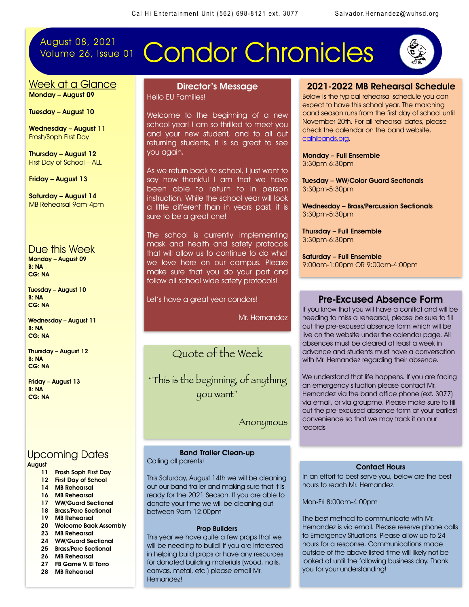## August 08, 2021<br>Volume 26, Issue 01

# **Condor Chronicles**



#### Week at a Glance Monday – August 09

Tuesday – August 10

Wednesday – August 11 Frosh/Soph First Day

Thursday – August 12 First Day of School – ALL

Friday – August 13

Saturday – August 14 MB Rehearsal 9am-4pm

#### Due this Week

Monday – August 09 B: NA CG: NA

Tuesday – August 10 B: NA CG: NA

Wednesday – August 11 B: NA CG: NA

Thursday – August 12 B: NA CG: NA

Friday – August 13 B: NA CG: NA

#### Upcoming Dates

## August<br>11

j

- Frosh Soph First Day
- 12 First Day of School
- 14 MB Rehearsal
- 16 MB Rehearsal
- 17 WW/Guard Sectional 18 Brass/Perc Sectional
- 19 MB Rehearsal
- 
- 20 Welcome Back Assembly 23 MB Rehearsal
- 24 WW/Guard Sectional
- 25 Brass/Perc Sectional
- 26 MB Rehearsal
- 27 FB Game V. El Torro
- 28 MB Rehearsal

#### Director's Message Hello EU Families!

Welcome to the beginning of a new school year! I am so thrilled to meet you and your new student, and to all out returning students, it is so great to see you again.

As we return back to school, I just want to say how thankful I am that we have been able to return to in person instruction. While the school year will look a little different than in years past, it is sure to be a great one!

The school is currently implementing mask and health and safety protocols that will allow us to continue to do what we love here on our campus. Please make sure that you do your part and follow all school wide safety protocols!

Let's have a great year condors!

Mr. Hernandez

## Quote of the Week

"This is the beginning, of anything you want"

Anonymous

Band Trailer Clean-up Calling all parents!

This Saturday, August 14th we will be cleaning out our band trailer and making sure that it is ready for the 2021 Season. If you are able to donate your time we will be cleaning out between 9am-12:00pm

#### Prop Builders

This year we have quite a few props that we will be needing to build! If you are interested in helping build props or have any resources for donated building materials (wood, nails, canvas, metal, etc.) please email Mr. Hernandez!

#### 2021-2022 MB Rehearsal Schedule

Below is the typical rehearsal schedule you can expect to have this school year. The marching band season runs from the first day of school until November 20th. For all rehearsal dates, please check the calendar on the band website, [calhibands.org.](http://calhibands.org)

Monday – Full Ensemble 3:30pm-6:30pm

Tuesday – WW/Color Guard Sectionals 3:30pm-5:30pm

Wednesday – Brass/Percussion Sectionals 3:30pm-5:30pm

Thursday – Full Ensemble 3:30pm-6:30pm

Saturday – Full Ensemble 9:00am-1:00pm OR 9:00am-4:00pm

#### Pre-Excused Absence Form

If you know that you will have a conflict and will be needing to miss a rehearsal, please be sure to fill out the pre-excused absence form which will be live on the website under the calendar page. All absences must be cleared at least a week in advance and students must have a conversation with Mr. Hernandez regarding their absence.

We understand that life happens. If you are facing an emergency situation please contact Mr. Hernandez via the band office phone (ext. 3077) via email, or via groupme. Please make sure to fill out the pre-excused absence form at your earliest convenience so that we may track it on our records

#### Contact Hours

In an effort to best serve you, below are the best hours to reach Mr. Hernandez.

Mon-Fri 8:00am-4:00pm

The best method to communicate with Mr. Hernandez is via email. Please reserve phone calls to Emergency Situations. Please allow up to 24 hours for a response. Communications made outside of the above listed time will likely not be looked at until the following business day. Thank you for your understanding!